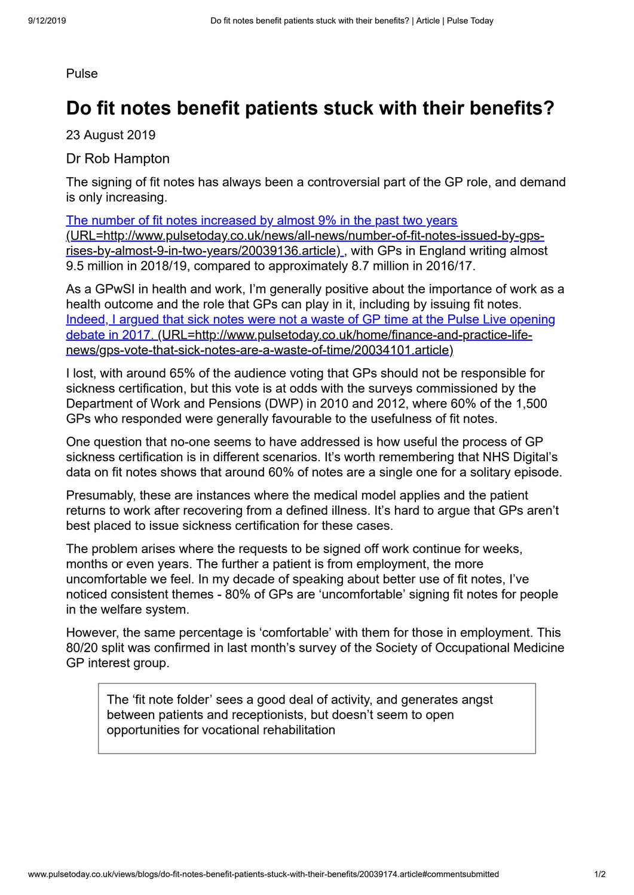## Pulse

## **Do fit notes benefit patients stuck with their benefits?**

23 August 2019

Dr Rob Hampton

The signing of fit notes has always been a controversial part of the GP role, and demand is only increasing.

The number of fit notes increased by almost 9% in the past two years [\(URL=http://www.pulsetoday.co.uk/news/all-news/number-of-fit-notes-issued-by-gps](http://www.pulsetoday.co.uk/news/all-news/number-of-fit-notes-issued-by-gps-rises-by-almost-9-in-two-years/20039136.article)rises-by-almost-9-in-two-years/20039136.article), with GPs in England writing almost 9.5 million in 2018/19, compared to approximately 8.7 million in 2016/17.

As a GPwSI in health and work, I'm generally positive about the importance of work as a health outcome and the role that GPs can play in it, including by issuing fit notes. [Indeed, I argued that sick notes were not a waste of GP time at the Pulse Live opening](http://www.pulsetoday.co.uk/home/finance-and-practice-life-news/gps-vote-that-sick-notes-are-a-waste-of-time/20034101.article) debate in 2017. (URL=http://www.pulsetoday.co.uk/home/finance-and-practice-lifenews/gps-vote-that-sick-notes-are-a-waste-of-time/20034101.article)

I lost, with around 65% of the audience voting that GPs should not be responsible for sickness certification, but this vote is at odds with the surveys commissioned by the Department of Work and Pensions (DWP) in 2010 and 2012, where 60% of the 1,500 GPs who responded were generally favourable to the usefulness of fit notes.

One question that no-one seems to have addressed is how useful the process of GP sickness certification is in different scenarios. It's worth remembering that NHS Digital's data on fit notes shows that around 60% of notes are a single one for a solitary episode.

Presumably, these are instances where the medical model applies and the patient returns to work after recovering from a defined illness. It's hard to argue that GPs aren't best placed to issue sickness certification for these cases.

The problem arises where the requests to be signed off work continue for weeks, months or even years. The further a patient is from employment, the more uncomfortable we feel. In my decade of speaking about better use of fit notes, I've noticed consistent themes - 80% of GPs are 'uncomfortable' signing fit notes for people in the welfare system.

However, the same percentage is 'comfortable' with them for those in employment. This 80/20 split was confirmed in last month's survey of the Society of Occupational Medicine GP interest group.

The 'fit note folder' sees a good deal of activity, and generates angst between patients and receptionists, but doesn't seem to open opportunities for vocational rehabilitation